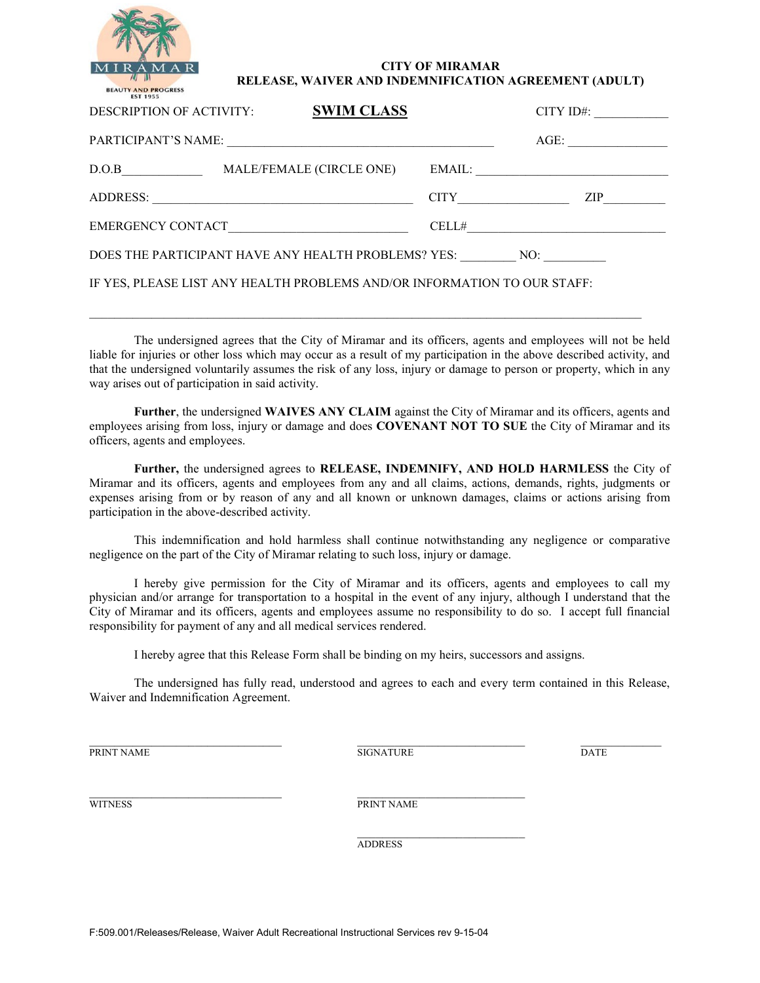

## **CITY OF MIRAMAR RELEASE, WAIVER AND INDEMNIFICATION AGREEMENT (ADULT)**

| DESCRIPTION OF ACTIVITY:                                                 | <b>SWIM CLASS</b>        |  | $CITY$ ID#:            |
|--------------------------------------------------------------------------|--------------------------|--|------------------------|
| PARTICIPANT'S NAME:                                                      |                          |  | AGE:                   |
| D.O.B                                                                    | MALE/FEMALE (CIRCLE ONE) |  | EMAIL:                 |
|                                                                          | ADDRESS:                 |  | ZIP —<br>CITY THE CITY |
| EMERGENCY CONTACT PRODUCED ACCEPTANCE                                    |                          |  |                        |
| DOES THE PARTICIPANT HAVE ANY HEALTH PROBLEMS? YES: NO:                  |                          |  |                        |
| IF YES, PLEASE LIST ANY HEALTH PROBLEMS AND/OR INFORMATION TO OUR STAFF: |                          |  |                        |

The undersigned agrees that the City of Miramar and its officers, agents and employees will not be held liable for injuries or other loss which may occur as a result of my participation in the above described activity, and that the undersigned voluntarily assumes the risk of any loss, injury or damage to person or property, which in any way arises out of participation in said activity.

 $\mathcal{L}_\mathcal{L} = \{ \mathcal{L}_\mathcal{L} = \{ \mathcal{L}_\mathcal{L} = \{ \mathcal{L}_\mathcal{L} = \{ \mathcal{L}_\mathcal{L} = \{ \mathcal{L}_\mathcal{L} = \{ \mathcal{L}_\mathcal{L} = \{ \mathcal{L}_\mathcal{L} = \{ \mathcal{L}_\mathcal{L} = \{ \mathcal{L}_\mathcal{L} = \{ \mathcal{L}_\mathcal{L} = \{ \mathcal{L}_\mathcal{L} = \{ \mathcal{L}_\mathcal{L} = \{ \mathcal{L}_\mathcal{L} = \{ \mathcal{L}_\mathcal{$ 

**Further**, the undersigned **WAIVES ANY CLAIM** against the City of Miramar and its officers, agents and employees arising from loss, injury or damage and does **COVENANT NOT TO SUE** the City of Miramar and its officers, agents and employees.

**Further,** the undersigned agrees to **RELEASE, INDEMNIFY, AND HOLD HARMLESS** the City of Miramar and its officers, agents and employees from any and all claims, actions, demands, rights, judgments or expenses arising from or by reason of any and all known or unknown damages, claims or actions arising from participation in the above-described activity.

This indemnification and hold harmless shall continue notwithstanding any negligence or comparative negligence on the part of the City of Miramar relating to such loss, injury or damage.

I hereby give permission for the City of Miramar and its officers, agents and employees to call my physician and/or arrange for transportation to a hospital in the event of any injury, although I understand that the City of Miramar and its officers, agents and employees assume no responsibility to do so. I accept full financial responsibility for payment of any and all medical services rendered.

I hereby agree that this Release Form shall be binding on my heirs, successors and assigns.

The undersigned has fully read, understood and agrees to each and every term contained in this Release, Waiver and Indemnification Agreement.

 $\_$  ,  $\_$  ,  $\_$  ,  $\_$  ,  $\_$  ,  $\_$  ,  $\_$  ,  $\_$  ,  $\_$  ,  $\_$  ,  $\_$  ,  $\_$  ,  $\_$  ,  $\_$  ,  $\_$  ,  $\_$  ,  $\_$  ,  $\_$  ,  $\_$  ,  $\_$  ,  $\_$  ,  $\_$  ,  $\_$  ,  $\_$  ,  $\_$  ,  $\_$  ,  $\_$  ,  $\_$  ,  $\_$  ,  $\_$  ,  $\_$  ,  $\_$  ,  $\_$  ,  $\_$  ,  $\_$  ,  $\_$  ,  $\_$  , PRINT NAME DATE DESIGNATURE SIGNATURE

\_\_\_\_\_\_\_\_\_\_\_\_\_\_\_\_\_\_\_\_\_\_\_\_\_\_\_\_\_\_\_ \_\_\_\_\_\_\_\_\_\_\_\_\_\_\_\_\_\_\_\_\_\_\_\_\_\_\_ WITNESS PRINT NAME

> $\overline{\phantom{a}}$  , and the set of the set of the set of the set of the set of the set of the set of the set of the set of the set of the set of the set of the set of the set of the set of the set of the set of the set of the s ADDRESS